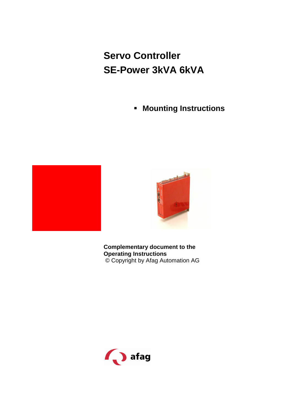# **Servo Controller SE-Power 3kVA 6kVA**

**Mounting Instructions**





**Complementary document to the Operating Instructions** © Copyright by Afag Automation AG

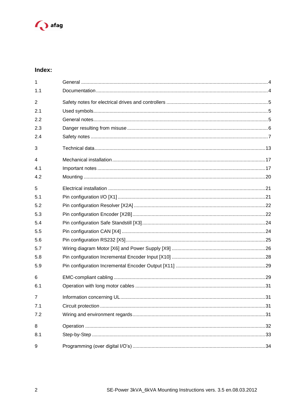

### Index:

| $\mathbf{1}$   |                            |    |
|----------------|----------------------------|----|
| 1.1            |                            |    |
| $\overline{2}$ |                            |    |
| 2.1            |                            |    |
| 2.2            |                            |    |
| 2.3            |                            |    |
| 2.4            |                            |    |
| 3              |                            |    |
| 4              |                            |    |
| 4.1            |                            |    |
| 4.2            |                            |    |
| 5              |                            |    |
| 5.1            |                            |    |
| 5.2            |                            |    |
| 5.3            |                            |    |
| 5.4            |                            |    |
| 5.5            |                            |    |
| 5.6            |                            |    |
| 5.7            |                            |    |
| 5.8            |                            |    |
| 5.9            |                            |    |
| 6              |                            |    |
| 6.1            |                            |    |
| $\overline{7}$ | Information concerning UL. | 31 |
| 7.1            |                            |    |
| 7.2            |                            |    |
| 8              |                            |    |
| 8.1            |                            |    |
| 9              |                            |    |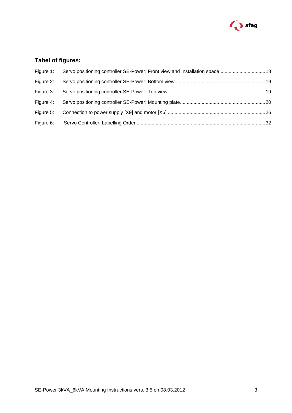

# **Tabel of figures:**

|           | Figure 1: Servo positioning controller SE-Power: Front view and Installation space18 |  |
|-----------|--------------------------------------------------------------------------------------|--|
| Figure 2: |                                                                                      |  |
| Figure 3: |                                                                                      |  |
| Figure 4: |                                                                                      |  |
| Figure 5: |                                                                                      |  |
|           |                                                                                      |  |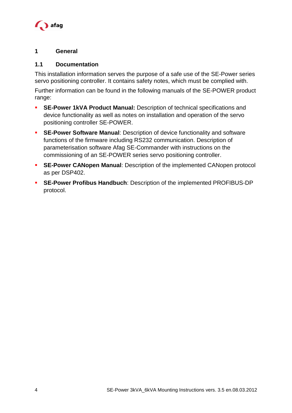

### <span id="page-3-0"></span>**1 General**

### <span id="page-3-1"></span>**1.1 Documentation**

This installation information serves the purpose of a safe use of the SE-Power series servo positioning controller. It contains safety notes, which must be complied with.

Further information can be found in the following manuals of the SE-POWER product range:

- **SE-Power 1kVA Product Manual:** Description of technical specifications and device functionality as well as notes on installation and operation of the servo positioning controller SE-POWER.
- **SE-Power Software Manual**: Description of device functionality and software functions of the firmware including RS232 communication. Description of parameterisation software Afag SE-Commander with instructions on the commissioning of an SE-POWER series servo positioning controller.
- **SE-Power CANopen Manual**: Description of the implemented CANopen protocol as per DSP402.
- **SE-Power Profibus Handbuch**: Description of the implemented PROFIBUS-DP protocol.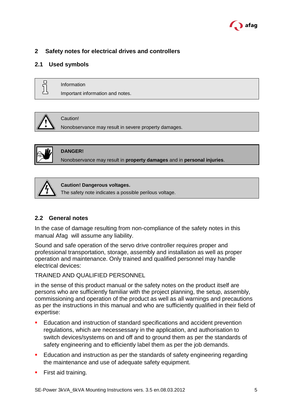

### <span id="page-4-0"></span>**2 Safety notes for electrical drives and controllers**

### <span id="page-4-1"></span>**2.1 Used symbols**



Information Important information and notes.



Caution!

Nonobservance may result in severe property damages.



### **DANGER!**

Nonobservance may result in **property damages** and in **personal injuries**.



#### **Caution! Dangerous voltages.**

The safety note indicates a possible perilous voltage.

### <span id="page-4-2"></span>**2.2 General notes**

In the case of damage resulting from non-compliance of the safety notes in this manual Afag will assume any liability.

Sound and safe operation of the servo drive controller requires proper and professional transportation, storage, assembly and installation as well as proper operation and maintenance. Only trained and qualified personnel may handle electrical devices:

### TRAINED AND QUALIFIED PERSONNEL

in the sense of this product manual or the safety notes on the product itself are persons who are sufficiently familiar with the project planning, the setup, assembly, commissioning and operation of the product as well as all warnings and precautions as per the instructions in this manual and who are sufficiently qualified in their field of expertise:

- **Education and instruction of standard specifications and accident prevention** regulations, which are necessessary in the application, and authorisation to switch devices/systems on and off and to ground them as per the standards of safety engineering and to efficiently label them as per the job demands.
- **E** Education and instruction as per the standards of safety engineering regarding the maintenance and use of adequate safety equipment.
- **First aid training.**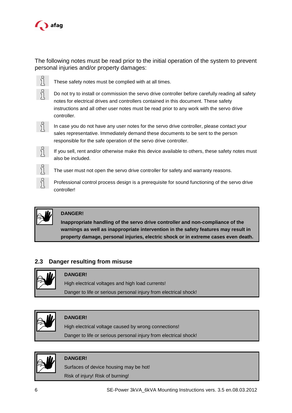

### The following notes must be read prior to the initial operation of the system to prevent personal injuries and/or property damages:



These safety notes must be complied with at all times.

Do not try to install or commission the servo drive controller before carefully reading all safety notes for electrical drives and controllers contained in this document. These safety instructions and all other user notes must be read prior to any work with the servo drive controller.



In case you do not have any user notes for the servo drive controller, please contact your sales representative. Immediately demand these documents to be sent to the person responsible for the safe operation of the servo drive controller.



If you sell, rent and/or otherwise make this device available to others, these safety notes must also be included.



The user must not open the servo drive controller for safety and warranty reasons.

Professional control process design is a prerequisite for sound functioning of the servo drive controller!



### **DANGER!**

**Inappropriate handling of the servo drive controller and non-compliance of the warnings as well as inappropriate intervention in the safety features may result in property damage, personal injuries, electric shock or in extreme cases even death.**

### <span id="page-5-0"></span>**2.3 Danger resulting from misuse**



#### **DANGER!**

High electrical voltages and high load currents! Danger to life or serious personal injury from electrical shock!



### **DANGER!**

High electrical voltage caused by wrong connections! Danger to life or serious personal injury from electrical shock!



### **DANGER!**

Surfaces of device housing may be hot! Risk of injury! Risk of burning!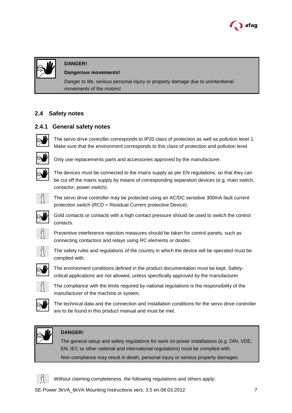



# **DANGER!**

**Dangerous movements!**

Danger to life, serious personal injury or property damage due to unintentional movements of the motors!

### <span id="page-6-0"></span>**2.4 Safety notes**

### **2.4.1 General safety notes**



The servo drive controller corresponds to IP20 class of protection as well as pollution level 1. Make sure that the environment corresponds to this class of protection and pollution level.



Only use replacements parts and accessories approved by the manufacturer.



The devices must be connected to the mains supply as per EN regulations, so that they can be cut off the mains supply by means of corresponding separation devices (e.g. main switch, contactor, power switch).



The servo drive controller may be protected using an AC/DC sensitive 300mA fault current protection switch (RCD = Residual Current protective Device).



Gold contacts or contacts with a high contact pressure should be used to switch the control contacts.



Preventive interference rejection measures should be taken for control panels, such as connecting contactors and relays using RC elements or diodes.



The safety rules and regulations of the country in which the device will be operated must be complied with.



The environment conditions defined in the product documentation must be kept. Safetycritical applications are not allowed, unless specifically approved by the manufacturer.



The compliance with the limits required by national regulations is the responsibility of the manufacturer of the machine or system.



The technical data and the connection and installation conditions for the servo drive controller are to be found in this product manual and must be met.



#### **DANGER!**

The general setup and safety regulations for work on power installations (e.g. DIN, VDE, EN, IEC or other national and international regulations) must be complied with. Non-compliance may result in death, personal injury or serious property damages.



Without claiming completeness, the following regulations and others apply: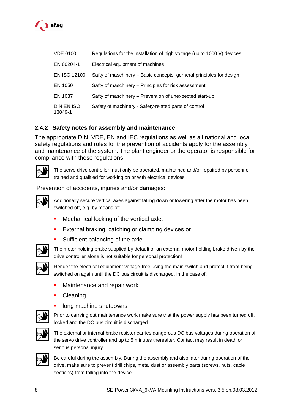

| <b>VDE 0100</b>              | Regulations for the installation of high voltage (up to 1000 V) devices |
|------------------------------|-------------------------------------------------------------------------|
| EN 60204-1                   | Electrical equipment of machines                                        |
| EN ISO 12100                 | Safty of maschinery – Basic concepts, gerneral principles for design    |
| EN 1050                      | Safty of maschinery - Principles for risk assessment                    |
| EN 1037                      | Safty of maschinery – Prevention of unexpected start-up                 |
| <b>DIN EN ISO</b><br>13849-1 | Safety of machinery - Safety-related parts of control                   |

### **2.4.2 Safety notes for assembly and maintenance**

The appropriate DIN, VDE, EN and IEC regulations as well as all national and local safety regulations and rules for the prevention of accidents apply for the assembly and maintenance of the system. The plant engineer or the operator is responsible for compliance with these regulations:



The servo drive controller must only be operated, maintained and/or repaired by personnel trained and qualified for working on or with electrical devices.

Prevention of accidents, injuries and/or damages:



Additionally secure vertical axes against falling down or lowering after the motor has been switched off, e.g. by means of:

- Mechanical locking of the vertical axle,
- External braking, catching or clamping devices or
- Sufficient balancing of the axle.



The motor holding brake supplied by default or an external motor holding brake driven by the drive controller alone is not suitable for personal protection!



Render the electrical equipment voltage-free using the main switch and protect it from being switched on again until the DC bus circuit is discharged, in the case of:

- Maintenance and repair work
- Cleaning
- long machine shutdowns



Prior to carrying out maintenance work make sure that the power supply has been turned off, locked and the DC bus circuit is discharged.



The external or internal brake resistor carries dangerous DC bus voltages during operation of the servo drive controller and up to 5 minutes thereafter. Contact may result in death or serious personal injury.



Be careful during the assembly. During the assembly and also later during operation of the drive, make sure to prevent drill chips, metal dust or assembly parts (screws, nuts, cable sections) from falling into the device.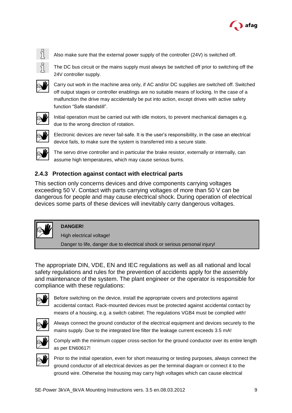



Also make sure that the external power supply of the controller (24V) is switched off.

The DC bus circuit or the mains supply must always be switched off prior to switching off the 24V controller supply.



Carry out work in the machine area only, if AC and/or DC supplies are switched off. Switched off output stages or controller enablings are no suitable means of locking. In the case of a malfunction the drive may accidentally be put into action, except drives with active safety function "Safe standstill".



Initial operation must be carried out with idle motors, to prevent mechanical damages e.g. due to the wrong direction of rotation.



Electronic devices are never fail-safe. It is the user"s responsibility, in the case an electrical device fails, to make sure the system is transferred into a secure state.



The servo drive controller and in particular the brake resistor, externally or internally, can assume high temperatures, which may cause serious burns.

### **2.4.3 Protection against contact with electrical parts**

This section only concerns devices and drive components carrying voltages exceeding 50 V. Contact with parts carrying voltages of more than 50 V can be dangerous for people and may cause electrical shock. During operation of electrical devices some parts of these devices will inevitably carry dangerous voltages.



### **DANGER!**

High electrical voltage!

Danger to life, danger due to electrical shock or serious personal injury!

The appropriate DIN, VDE, EN and IEC regulations as well as all national and local safety regulations and rules for the prevention of accidents apply for the assembly and maintenance of the system. The plant engineer or the operator is responsible for compliance with these regulations:



Before switching on the device, install the appropriate covers and protections against accidental contact. Rack-mounted devices must be protected against accidental contact by means of a housing, e.g. a switch cabinet. The regulations VGB4 must be complied with!



Always connect the ground conductor of the electrical equipment and devices securely to the mains supply. Due to the integrated line filter the leakage current exceeds 3.5 mA!



Comply with the minimum copper cross-section for the ground conductor over its entire length as per EN60617!



Prior to the initial operation, even for short measuring or testing purposes, always connect the ground conductor of all electrical devices as per the terminal diagram or connect it to the ground wire. Otherwise the housing may carry high voltages which can cause electrical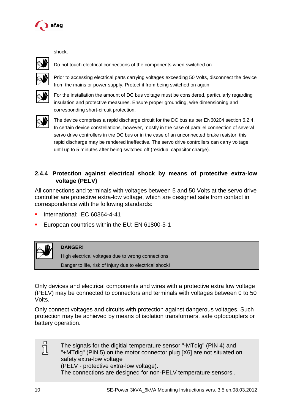

shock.



Do not touch electrical connections of the components when switched on.

Prior to accessing electrical parts carrying voltages exceeding 50 Volts, disconnect the device from the mains or power supply. Protect it from being switched on again.



For the installation the amount of DC bus voltage must be considered, particularly regarding insulation and protective measures. Ensure proper grounding, wire dimensioning and corresponding short-circuit protection.



The device comprises a rapid discharge circuit for the DC bus as per EN60204 section 6.2.4. In certain device constellations, however, mostly in the case of parallel connection of several servo drive controllers in the DC bus or in the case of an unconnected brake resistor, this rapid discharge may be rendered ineffective. The servo drive controllers can carry voltage until up to 5 minutes after being switched off (residual capacitor charge).

### **2.4.4 Protection against electrical shock by means of protective extra-low voltage (PELV)**

All connections and terminals with voltages between 5 and 50 Volts at the servo drive controller are protective extra-low voltage, which are designed safe from contact in correspondence with the following standards:

- International: IEC 60364-4-41
- European countries within the EU: EN 61800-5-1



### **DANGER!**

High electrical voltages due to wrong connections! Danger to life, risk of injury due to electrical shock!

Only devices and electrical components and wires with a protective extra low voltage (PELV) may be connected to connectors and terminals with voltages between 0 to 50 Volts.

Only connect voltages and circuits with protection against dangerous voltages. Such protection may be achieved by means of isolation transformers, safe optocouplers or battery operation.

The signals for the digitial temperature sensor "-MTdig" (PIN 4) and "+MTdig" (PIN 5) on the motor connector plug [X6] are not situated on safety extra-low voltage (PELV - protective extra-low voltage). The connections are designed for non-PELV temperature sensors .

j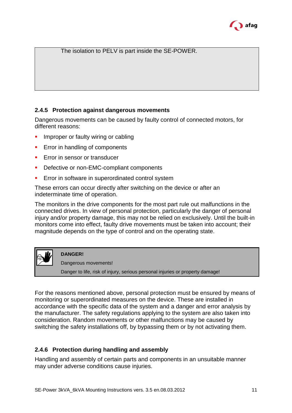

The isolation to PELV is part inside the SE-POWER.

### **2.4.5 Protection against dangerous movements**

Dangerous movements can be caused by faulty control of connected motors, for different reasons:

- Improper or faulty wiring or cabling
- **Error in handling of components**
- **E** Fror in sensor or transducer
- **•** Defective or non-EMC-compliant components
- Error in software in superordinated control system

These errors can occur directly after switching on the device or after an indeterminate time of operation.

The monitors in the drive components for the most part rule out malfunctions in the connected drives. In view of personal protection, particularly the danger of personal injury and/or property damage, this may not be relied on exclusively. Until the built-in monitors come into effect, faulty drive movements must be taken into account; their magnitude depends on the type of control and on the operating state.



#### **DANGER!**

Dangerous movements!

Danger to life, risk of injury, serious personal injuries or property damage!

For the reasons mentioned above, personal protection must be ensured by means of monitoring or superordinated measures on the device. These are installed in accordance with the specific data of the system and a danger and error analysis by the manufacturer. The safety regulations applying to the system are also taken into consideration. Random movements or other malfunctions may be caused by switching the safety installations off, by bypassing them or by not activating them.

### **2.4.6 Protection during handling and assembly**

Handling and assembly of certain parts and components in an unsuitable manner may under adverse conditions cause injuries.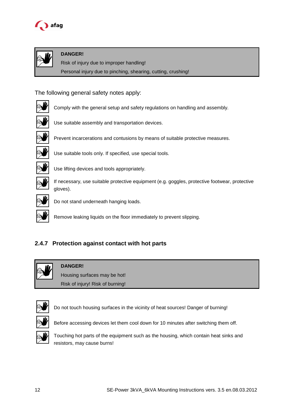



**DANGER!** Risk of injury due to improper handling!

Personal injury due to pinching, shearing, cutting, crushing!

The following general safety notes apply:



Comply with the general setup and safety regulations on handling and assembly.



Use suitable assembly and transportation devices.



Prevent incarcerations and contusions by means of suitable protective measures.



Use suitable tools only. If specified, use special tools.



Use lifting devices and tools appropriately.

If necessary, use suitable protective equipment (e.g. goggles, protective footwear, protective gloves).



Do not stand underneath hanging loads.

Remove leaking liquids on the floor immediately to prevent slipping.

### **2.4.7 Protection against contact with hot parts**



**DANGER!**

Housing surfaces may be hot! Risk of injury! Risk of burning!



Do not touch housing surfaces in the vicinity of heat sources! Danger of burning!



Before accessing devices let them cool down for 10 minutes after switching them off.



Touching hot parts of the equipment such as the housing, which contain heat sinks and resistors, may cause burns!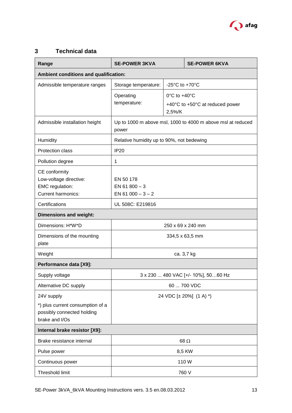

### <span id="page-12-0"></span>**3 Technical data**

| Range                                                                            | <b>SE-POWER 3KVA</b>                              |                                                      | <b>SE-POWER 6KVA</b>                                        |
|----------------------------------------------------------------------------------|---------------------------------------------------|------------------------------------------------------|-------------------------------------------------------------|
| Ambient conditions and qualification:                                            |                                                   |                                                      |                                                             |
| Admissible temperature ranges                                                    | Storage temperature:                              | -25 $\mathrm{^{\circ}C}$ to +70 $\mathrm{^{\circ}C}$ |                                                             |
|                                                                                  | Operating                                         | 0°C to +40°C                                         |                                                             |
|                                                                                  | temperature:                                      | 2,5%/K                                               | +40°C to +50°C at reduced power                             |
| Admissible installation height                                                   | power                                             |                                                      | Up to 1000 m above msl, 1000 to 4000 m above msl at reduced |
| Humidity                                                                         | Relative humidity up to 90%, not bedewing         |                                                      |                                                             |
| Protection class                                                                 | <b>IP20</b>                                       |                                                      |                                                             |
| Pollution degree                                                                 | 1                                                 |                                                      |                                                             |
| CE conformity<br>Low-voltage directive:<br>EMC regulation:<br>Current harmonics: | EN 50 178<br>EN 61 800 $-3$<br>EN 61 000 $-3 - 2$ |                                                      |                                                             |
| Certifications                                                                   | UL 508C: E219816                                  |                                                      |                                                             |
| <b>Dimensions and weight:</b>                                                    |                                                   |                                                      |                                                             |
| Dimensions: H*W*D                                                                |                                                   |                                                      | 250 x 69 x 240 mm                                           |
| Dimensions of the mounting<br>plate                                              |                                                   |                                                      | 334,5 x 63,5 mm                                             |
| Weight                                                                           |                                                   |                                                      | ca. 3,7 kg                                                  |
| Performance data [X9]:                                                           |                                                   |                                                      |                                                             |
| Supply voltage                                                                   |                                                   |                                                      | 3 x 230  480 VAC [+/- 10%], 5060 Hz                         |
| Alternative DC supply<br>60  700 VDC                                             |                                                   |                                                      |                                                             |
| 24V supply                                                                       | 24 VDC [± 20%] (1 A) *)                           |                                                      |                                                             |
| *) plus current consumption of a<br>possibly connected holding<br>brake and I/Os |                                                   |                                                      |                                                             |
| Internal brake resistor [X9]:                                                    |                                                   |                                                      |                                                             |
| Brake resistance internal                                                        |                                                   |                                                      | $68\,\Omega$                                                |
| Pulse power                                                                      |                                                   |                                                      | 8,5 KW                                                      |
| Continuous power                                                                 |                                                   |                                                      | 110W                                                        |
| Threshold limit                                                                  |                                                   |                                                      | 760 V                                                       |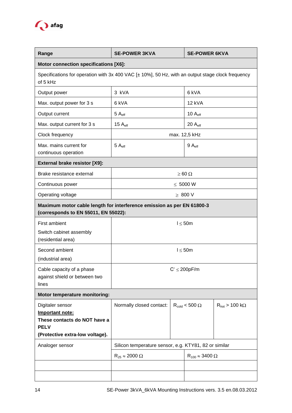

| Range                                                                                                               | <b>SE-POWER 3KVA</b>                                      |  | <b>SE-POWER 6KVA</b>          |  |
|---------------------------------------------------------------------------------------------------------------------|-----------------------------------------------------------|--|-------------------------------|--|
| <b>Motor connection specifications [X6]:</b>                                                                        |                                                           |  |                               |  |
| Specifications for operation with 3x 400 VAC $[\pm 10\%]$ , 50 Hz, with an output stage clock frequency<br>of 5 kHz |                                                           |  |                               |  |
| Output power                                                                                                        | 3 kVA                                                     |  | 6 kVA                         |  |
| Max. output power for 3 s                                                                                           | 6 kVA                                                     |  | 12 kVA                        |  |
| Output current                                                                                                      | 5 $A_{\text{eff}}$                                        |  | 10 $A_{\text{eff}}$           |  |
| Max. output current for 3 s                                                                                         | 15 $A_{\text{eff}}$                                       |  | $20A_{\text{eff}}$            |  |
| Clock frequency                                                                                                     |                                                           |  | max. 12,5 kHz                 |  |
| Max. mains current for<br>continuous operation                                                                      | 5A <sub>eff</sub>                                         |  | 9A <sub>eff</sub>             |  |
| <b>External brake resistor [X9]:</b>                                                                                |                                                           |  |                               |  |
| Brake resistance external                                                                                           |                                                           |  | $>60 \Omega$                  |  |
| Continuous power                                                                                                    |                                                           |  | $\leq 5000$ W                 |  |
| Operating voltage                                                                                                   |                                                           |  | $\geq 800$ V                  |  |
| Maximum motor cable length for interference emission as per EN 61800-3<br>(corresponds to EN 55011, EN 55022):      |                                                           |  |                               |  |
| First ambient<br>Switch cabinet assembly<br>(residential area)                                                      |                                                           |  | $l \leq 50m$                  |  |
| Second ambient<br>(industrial area)                                                                                 |                                                           |  | $l \leq 50m$                  |  |
| Cable capacity of a phase<br>against shield or between two<br>lines                                                 | $C' \leq 200pF/m$                                         |  |                               |  |
| <b>Motor temperature monitoring:</b>                                                                                |                                                           |  |                               |  |
| Digitaler sensor<br>Important note:<br>These contacts do NOT have a<br><b>PELV</b>                                  | Normally closed contact:<br>$\rm R_{cold}$ < 500 $\Omega$ |  | $R_{hot}$ > 100 k $\Omega$    |  |
| (Protective extra-low voltage).                                                                                     |                                                           |  |                               |  |
| Analoger sensor                                                                                                     | Silicon temperature sensor, e.g. KTY81, 82 or similar     |  |                               |  |
|                                                                                                                     | $R_{25} \approx 2000 \Omega$                              |  | $R_{100} \approx 3400 \Omega$ |  |
|                                                                                                                     |                                                           |  |                               |  |
|                                                                                                                     |                                                           |  |                               |  |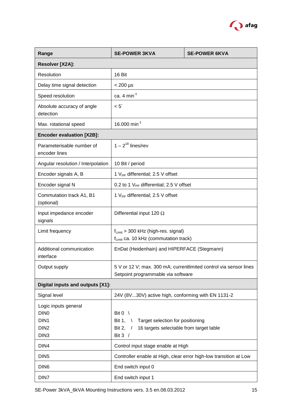

| Range                                                                                                | <b>SE-POWER 3KVA</b>                                                                                                                           | <b>SE-POWER 6KVA</b>                                              |
|------------------------------------------------------------------------------------------------------|------------------------------------------------------------------------------------------------------------------------------------------------|-------------------------------------------------------------------|
| Resolver [X2A]:                                                                                      |                                                                                                                                                |                                                                   |
| Resolution                                                                                           | 16 Bit                                                                                                                                         |                                                                   |
| Delay time signal detection                                                                          | $< 200 \text{ }\mu\text{s}$                                                                                                                    |                                                                   |
| Speed resolution                                                                                     | ca. 4 $min^{-1}$                                                                                                                               |                                                                   |
| Absolute accuracy of angle<br>detection                                                              | < 5 <sup>′</sup>                                                                                                                               |                                                                   |
| Max. rotational speed                                                                                | 16.000 min <sup>-1</sup>                                                                                                                       |                                                                   |
| <b>Encoder evaluation [X2B]:</b>                                                                     |                                                                                                                                                |                                                                   |
| Parameterisable number of<br>encoder lines                                                           | $1 - 2^{18}$ lines/rev                                                                                                                         |                                                                   |
| Angular resolution / Interpolation                                                                   | 10 Bit / period                                                                                                                                |                                                                   |
| Encoder signals A, B                                                                                 | 1 $V_{PP}$ differential; 2.5 V offset                                                                                                          |                                                                   |
| Encoder signal N                                                                                     | 0.2 to 1 $V_{PP}$ differential; 2.5 V offset                                                                                                   |                                                                   |
| Commutation track A1, B1<br>(optional)                                                               | 1 V <sub>PP</sub> differential; 2.5 V offset                                                                                                   |                                                                   |
| Input impedance encoder<br>signals                                                                   | Differential input 120 $\Omega$                                                                                                                |                                                                   |
| Limit frequency                                                                                      | $f_{Limit}$ > 300 kHz (high-res. signal)<br>f <sub>Limit</sub> ca. 10 kHz (commutation track)                                                  |                                                                   |
| Additional communication<br>interface                                                                | EnDat (Heidenhain) and HIPERFACE (Stegmann)                                                                                                    |                                                                   |
| Output supply                                                                                        | Setpoint programmable via software                                                                                                             | 5 V or 12 V; max. 300 mA; currentlimited control via sensor lines |
| Digital inputs and outputs [X1]:                                                                     |                                                                                                                                                |                                                                   |
| Signal level                                                                                         | 24V (8V30V) active high, conforming with EN 1131-2                                                                                             |                                                                   |
| Logic inputs general<br>DIN <sub>0</sub><br>DIN <sub>1</sub><br>DIN <sub>2</sub><br>DIN <sub>3</sub> | Bit $0 \sqrt{ }$<br>Bit 1, $\lambda$<br>Target selection for positioning<br>16 targets selectable from target table<br>Bit 2, $/$<br>Bit $3$ / |                                                                   |
| DIN4                                                                                                 | Control input stage enable at High                                                                                                             |                                                                   |
| DIN <sub>5</sub>                                                                                     | Controller enable at High, clear error high-low transition at Low                                                                              |                                                                   |
| DIN <sub>6</sub>                                                                                     | End switch input 0                                                                                                                             |                                                                   |
| DIN7                                                                                                 | End switch input 1                                                                                                                             |                                                                   |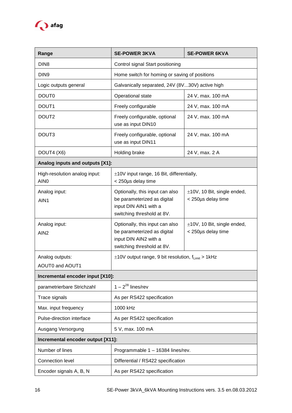

| Range                                             | <b>SE-POWER 3KVA</b>                                                                                                  | <b>SE-POWER 6KVA</b>                                    |  |
|---------------------------------------------------|-----------------------------------------------------------------------------------------------------------------------|---------------------------------------------------------|--|
| DIN <sub>8</sub>                                  | Control signal Start positioning                                                                                      |                                                         |  |
| DIN <sub>9</sub>                                  | Home switch for homing or saving of positions                                                                         |                                                         |  |
| Logic outputs general                             | Galvanically separated, 24V (8V30V) active high                                                                       |                                                         |  |
| DOUT <sub>0</sub>                                 | Operational state                                                                                                     | 24 V, max. 100 mA                                       |  |
| DOUT1                                             | Freely configurable                                                                                                   | 24 V, max. 100 mA                                       |  |
| DOUT <sub>2</sub>                                 | Freely configurable, optional<br>use as input DIN10                                                                   | 24 V, max. 100 mA                                       |  |
| DOUT3                                             | Freely configurable, optional<br>use as input DIN11                                                                   | 24 V, max. 100 mA                                       |  |
| DOUT4 (X6)                                        | Holding brake                                                                                                         | 24 V, max. 2 A                                          |  |
| Analog inputs and outputs [X1]:                   |                                                                                                                       |                                                         |  |
| High-resolution analog input:<br>AIN <sub>0</sub> | $\pm$ 10V input range, 16 Bit, differentially,<br>< 250µs delay time                                                  |                                                         |  |
| Analog input:<br>AIN1                             | Optionally, this input can also<br>be parameterized as digital<br>input DIN AIN1 with a<br>switching threshold at 8V. | $\pm 10V$ , 10 Bit, single ended,<br>< 250µs delay time |  |
| Analog input:<br>AIN <sub>2</sub>                 | Optionally, this input can also<br>be parameterized as digital<br>input DIN AIN2 with a<br>switching threshold at 8V. | $\pm$ 10V, 10 Bit, single ended,<br>< 250µs delay time  |  |
| Analog outputs:                                   | ±10V output range, 9 bit resolution, f <sub>Limit</sub> > 1kHz                                                        |                                                         |  |
| AOUT0 and AOUT1                                   |                                                                                                                       |                                                         |  |
| Incremental encoder input [X10]:                  |                                                                                                                       |                                                         |  |
| parametrierbare Strichzahl                        | $1 - 2^{28}$ lines/rev                                                                                                |                                                         |  |
| Trace signals                                     | As per RS422 specification                                                                                            |                                                         |  |
| Max. input frequency                              | 1000 kHz                                                                                                              |                                                         |  |
| Pulse-direction interface                         | As per RS422 specification                                                                                            |                                                         |  |
| Ausgang Versorgung                                | 5 V, max. 100 mA                                                                                                      |                                                         |  |
| Incremental encoder output [X11]:                 |                                                                                                                       |                                                         |  |
| Number of lines                                   | Programmable 1 - 16384 lines/rev.                                                                                     |                                                         |  |
| <b>Connection level</b>                           | Differential / RS422 specification                                                                                    |                                                         |  |
| Encoder signals A, B, N                           | As per RS422 specification                                                                                            |                                                         |  |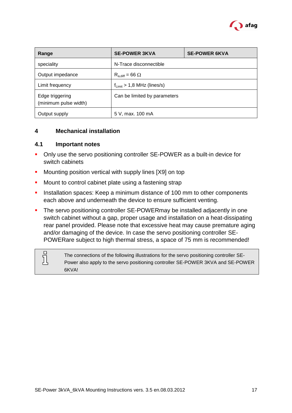

| Range                                    | <b>SE-POWER 3KVA</b>                    | <b>SE-POWER 6KVA</b> |
|------------------------------------------|-----------------------------------------|----------------------|
| speciality                               | N-Trace disconnectible                  |                      |
| Output impedance                         | $R_{\text{a,diff}} = 66 \Omega$         |                      |
| Limit frequency                          | $f_{Limit} > 1,8 \text{ MHz (lines/s)}$ |                      |
| Edge triggering<br>(minimum pulse width) | Can be limited by parameters            |                      |
| Output supply                            | 5 V, max. 100 mA                        |                      |

#### <span id="page-16-0"></span>**4 Mechanical installation**

#### <span id="page-16-1"></span>**4.1 Important notes**

- **Only use the servo positioning controller SE-POWER as a built-in device for** switch cabinets
- **Mounting position vertical with supply lines [X9] on top**
- **Mount to control cabinet plate using a fastening strap**
- **Installation spaces: Keep a minimum distance of 100 mm to other components** each above and underneath the device to ensure sufficient venting.
- **The servo positioning controller SE-POWERmay be installed adjacently in one** switch cabinet without a gap, proper usage and installation on a heat-dissipating rear panel provided. Please note that excessive heat may cause premature aging and/or damaging of the device. In case the servo positioning controller SE-POWERare subject to high thermal stress, a space of 75 mm is recommended!



The connections of the following illustrations for the servo positioning controller SE-Power also apply to the servo positioning controller SE-POWER 3KVA and SE-POWER 6KVA!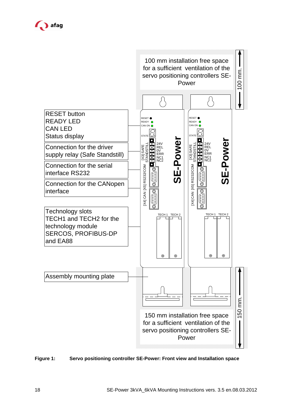

<span id="page-17-0"></span>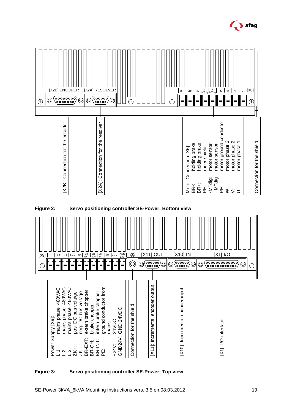

<span id="page-18-1"></span><span id="page-18-0"></span>**Figure 3: Servo positioning controller SE-Power: Top view**

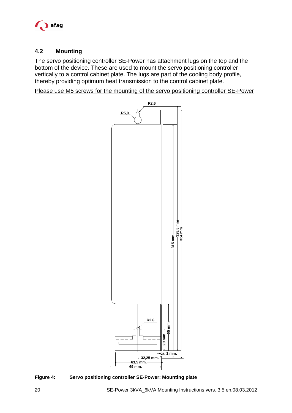

### <span id="page-19-0"></span>**4.2 Mounting**

The servo positioning controller SE-Power has attachment lugs on the top and the bottom of the device. These are used to mount the servo positioning controller vertically to a control cabinet plate. The lugs are part of the cooling body profile, thereby providing optimum heat transmission to the control cabinet plate.

Please use M5 screws for the mounting of the servo positioning controller SE-Power



<span id="page-19-1"></span>**Figure 4: Servo positioning controller SE-Power: Mounting plate**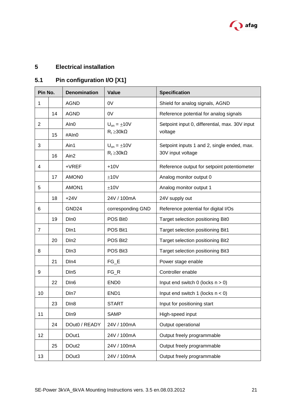

### <span id="page-20-0"></span>**Electrical installation**

# <span id="page-20-1"></span>**5.1 Pin configuration I/O [X1]**

|                | Pin No.<br><b>Denomination</b><br>Value |                   |                           | <b>Specification</b>                           |
|----------------|-----------------------------------------|-------------------|---------------------------|------------------------------------------------|
| 1              |                                         | <b>AGND</b>       | 0V                        | Shield for analog signals, AGND                |
|                | 14                                      | <b>AGND</b>       | 0V                        | Reference potential for analog signals         |
| $\overline{2}$ |                                         | Aln <sub>0</sub>  | $U_{on} = \pm 10V$        | Setpoint input 0, differential, max. 30V input |
|                | 15                                      | #AIn0             | $R_1 \geq 30k\Omega$      | voltage                                        |
| 3              |                                         | Ain1              | $U_{\text{on}} = \pm 10V$ | Setpoint inputs 1 and 2, single ended, max.    |
|                | 16                                      | Ain2              | $R_1 \geq 30k\Omega$      | 30V input voltage                              |
| 4              |                                         | +VREF             | $+10V$                    | Reference output for setpoint potentiometer    |
|                | 17                                      | <b>AMON0</b>      | ±10V                      | Analog monitor output 0                        |
| 5              |                                         | AMON1             | ±10V                      | Analog monitor output 1                        |
|                | 18                                      | $+24V$            | 24V / 100mA               | 24V supply out                                 |
| 6              |                                         | GND24             | corresponding GND         | Reference potential for digital I/Os           |
|                | 19                                      | DI <sub>n0</sub>  | POS Bit0                  | Target selection positioning Bit0              |
| $\overline{7}$ |                                         | DIn1              | POS Bit1                  | Target selection positioning Bit1              |
|                | 20                                      | DIn <sub>2</sub>  | POS Bit2                  | Target selection positioning Bit2              |
| 8              |                                         | DIn3              | POS Bit3                  | Target selection positioning Bit3              |
|                | 21                                      | DIn4              | $FG_E$                    | Power stage enable                             |
| 9              |                                         | DIn <sub>5</sub>  | $FG_R$                    | Controller enable                              |
|                | 22                                      | DI <sub>n6</sub>  | END <sub>0</sub>          | Input end switch 0 (locks $n > 0$ )            |
| 10             |                                         | DIn7              | END1                      | Input end switch 1 (locks $n < 0$ )            |
|                | 23                                      | DI <sub>n</sub> 8 | <b>START</b>              | Input for positioning start                    |
| 11             |                                         | DI <sub>n9</sub>  | <b>SAMP</b>               | High-speed input                               |
|                | 24                                      | DOut0 / READY     | 24V / 100mA               | Output operational                             |
| 12             |                                         | DOut1             | 24V / 100mA               | Output freely programmable                     |
|                | 25                                      | DOut <sub>2</sub> | 24V / 100mA               | Output freely programmable                     |
| 13             |                                         | DOut3             | 24V / 100mA               | Output freely programmable                     |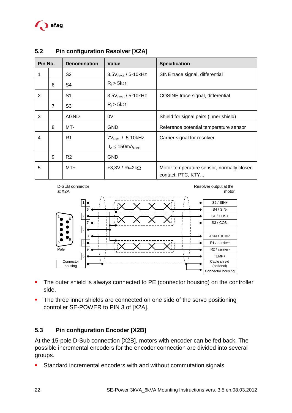

| Pin No. |                | <b>Denomination</b> | Value                                                    | <b>Specification</b>                                           |
|---------|----------------|---------------------|----------------------------------------------------------|----------------------------------------------------------------|
| 1       |                | S <sub>2</sub>      | $3,5VRMS$ / 5-10kHz                                      | SINE trace signal, differential                                |
|         | 6              | S4                  | $R_i > 5k\Omega$                                         |                                                                |
| 2       |                | S <sub>1</sub>      | $3,5VRMS / 5-10kHz$                                      | COSINE trace signal, differential                              |
|         | $\overline{7}$ | S <sub>3</sub>      | $R_i > 5k\Omega$                                         |                                                                |
| 3       |                | <b>AGND</b>         | 0V                                                       | Shield for signal pairs (inner shield)                         |
|         | 8              | MT-                 | <b>GND</b>                                               | Reference potential temperature sensor                         |
| 4       |                | R <sub>1</sub>      | $7V_{RMS}$ / 5-10kHz<br>$I_A \leq 150$ mA <sub>RMS</sub> | Carrier signal for resolver                                    |
|         | 9              | R <sub>2</sub>      | <b>GND</b>                                               |                                                                |
| 5       |                | MT+                 | +3,3V / $\textsf{Ri}=2\textsf{k}\Omega$                  | Motor temperature sensor, normally closed<br>contact, PTC, KTY |

### <span id="page-21-0"></span>**5.2 Pin configuration Resolver [X2A]**



- **The outer shield is always connected to PE (connector housing) on the controller** side.
- The three inner shields are connected on one side of the servo positioning controller SE-POWER to PIN 3 of [X2A].

### <span id="page-21-1"></span>**5.3 Pin configuration Encoder [X2B]**

At the 15-pole D-Sub connection [X2B], motors with encoder can be fed back. The possible incremental encoders for the encoder connection are divided into several groups.

Standard incremental encoders with and without commutation signals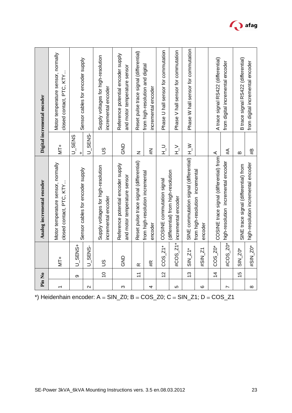|                                                                                      | Pin No            |                |                     | Analog incremental encoder                                         |                     | Digital incremental encoder                                        |
|--------------------------------------------------------------------------------------|-------------------|----------------|---------------------|--------------------------------------------------------------------|---------------------|--------------------------------------------------------------------|
| *) Heidenhain encoder: $A = SIN\_Z0$ ; $B = COS\_Z0$ ; $C = SIN\_Z1$ ; $D = COS\_Z1$ | ᠇                 |                | $\overline{M}$ +    | Motor temperature sensor, normally<br>closed contact, PTC, KTY     | $\overline{1}$      | Motor temperature sensor, normally<br>closed contact, PTC, KTY     |
|                                                                                      |                   | თ              | U_SENS+             | Sensor cables for encoder supply                                   | U_SENS<br>$\ddot{}$ | Sensor cables for encoder supply                                   |
|                                                                                      | $\mathbf{\Omega}$ |                | U_SENS-             |                                                                    | U_SENS-             |                                                                    |
|                                                                                      |                   | $\overline{C}$ | 90                  | Supply voltages for high-resolution<br>incremental encoder         | SC                  | Supply voltages for high-resolution<br>incremental encoder         |
|                                                                                      | ო                 |                | <b>GND</b>          | Reference potential encoder supply<br>and motor temperature sensor | <b>GND</b>          | Reference potential encoder supply<br>and motor temperature sensor |
|                                                                                      |                   | $\tilde{t}$    | œ                   | Reset pulse trace signal (differential)                            | $\mathsf{z}$        | Reset pulse trace signal (differential)                            |
|                                                                                      | 4                 |                | #R                  | from high-resolution incremental<br>encoder                        | #N                  | from high-resolution and digital<br>incremental encoder            |
|                                                                                      |                   | $\frac{1}{2}$  | $COS_2^*$           | COSINE commutation signal                                          | コーエ                 | Phase U hall sensor for commutation                                |
|                                                                                      | 5                 |                | $Z^*$<br>#COS       | (differential) from high-resolution<br>incremental encoder         | $\geq$              | Phase V hall sensor for commutation                                |
|                                                                                      |                   | $\frac{3}{2}$  | $SIN_2^2$           | SINE commutation signal (differential)                             | $\geq \frac{1}{2}$  | Phase W hall sensor for commutation                                |
|                                                                                      | ဖ                 |                | #SIN <sub>Z</sub> 1 | from high-resolution incremental<br>encoder                        |                     |                                                                    |
|                                                                                      |                   | $\overline{4}$ | $COS_2$             | COSINE trace signal (differential) from                            | ⋖                   | A trace signal RS422 (differential)                                |
|                                                                                      | Ľ                 |                | #COS Z0*            | high-resolution incremental encoder                                | #A                  | from digital incremental encoder                                   |
|                                                                                      |                   | $\frac{5}{2}$  | $SIN$ $ZO^*$        | SINE trace signal (differential) from                              | മ                   | B trace signal RS422 (differential)                                |
|                                                                                      | ∞                 |                | #SIN Z0*            | high-resolution incremental encoder                                | #B                  | from digital incremental encoder                                   |

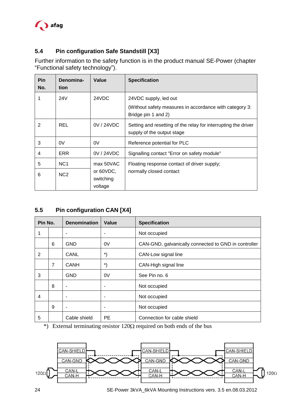

### <span id="page-23-0"></span>**5.4 Pin configuration Safe Standstill [X3]**

Further information to the safety function is in the product manual SE-Power (chapter "Functional safety technology").

| <b>Pin</b><br>No. | Denomina-<br>tion | Value                             | <b>Specification</b>                                                                                    |
|-------------------|-------------------|-----------------------------------|---------------------------------------------------------------------------------------------------------|
|                   | 24V               | 24VDC                             | 24VDC supply, led out<br>(Without safety measures in accordance with category 3:<br>Bridge pin 1 and 2) |
| 2                 | REL.              | 0V / 24VDC                        | Setting and resetting of the relay for interrupting the driver<br>supply of the output stage            |
| 3                 | 0V                | 0V                                | Reference potential for PLC                                                                             |
| 4                 | <b>ERR</b>        | 0V / 24VDC                        | Signalling contact "Error on safety module"                                                             |
| 5                 | NC <sub>1</sub>   | max 50VAC                         | Floating response contact of driver supply;                                                             |
| 6                 | NC <sub>2</sub>   | or 60VDC,<br>switching<br>voltage | normally closed contact                                                                                 |

### <span id="page-23-1"></span>**5.5 Pin configuration CAN [X4]**

| Pin No.<br><b>Denomination</b><br>Value |                |                          | <b>Specification</b> |                                                      |  |  |  |  |  |  |
|-----------------------------------------|----------------|--------------------------|----------------------|------------------------------------------------------|--|--|--|--|--|--|
| 1                                       |                | ۰                        |                      | Not occupied                                         |  |  |  |  |  |  |
|                                         | 6              | <b>GND</b>               | 0V                   | CAN-GND, galvanically connected to GND in controller |  |  |  |  |  |  |
| $\overline{2}$                          |                | <b>CANL</b>              | *)                   | CAN-Low signal line                                  |  |  |  |  |  |  |
|                                         | $\overline{7}$ | CANH                     | $\boldsymbol{r}$     | CAN-High signal line                                 |  |  |  |  |  |  |
| 3                                       |                | <b>GND</b>               | 0V                   | See Pin no. 6                                        |  |  |  |  |  |  |
|                                         | 8              | ٠                        |                      | Not occupied                                         |  |  |  |  |  |  |
| 4                                       |                | $\overline{\phantom{a}}$ | ۰                    | Not occupied                                         |  |  |  |  |  |  |
|                                         | 9              | ۰                        |                      | Not occupied                                         |  |  |  |  |  |  |
| 5                                       |                | Cable shield             | <b>PE</b>            | Connection for cable shield                          |  |  |  |  |  |  |

\*) External terminating resistor  $120\Omega$  required on both ends of the bus

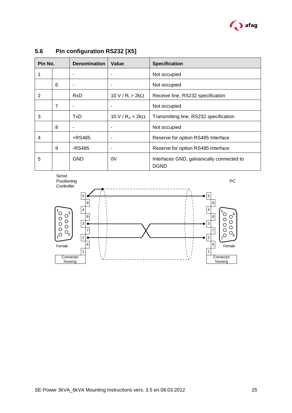

| Pin No. |   | <b>Denomination</b> | Value                       | <b>Specification</b>                                     |  |  |  |  |  |  |
|---------|---|---------------------|-----------------------------|----------------------------------------------------------|--|--|--|--|--|--|
|         |   |                     |                             | Not occupied                                             |  |  |  |  |  |  |
|         | 6 | ۰                   | ۰                           | Not occupied                                             |  |  |  |  |  |  |
| 2       |   | <b>RxD</b>          | 10 V / R <sub>1</sub> > 2kΩ | Receive line, RS232 specification                        |  |  |  |  |  |  |
|         | 7 |                     |                             | Not occupied                                             |  |  |  |  |  |  |
| 3       |   | TxD                 | 10 V / $R_A < 2k\Omega$     | Transmitting line, RS232 specification                   |  |  |  |  |  |  |
|         | 8 |                     |                             | Not occupied                                             |  |  |  |  |  |  |
| 4       |   | +RS485              |                             | Reserve for option RS485 Interface                       |  |  |  |  |  |  |
|         | 9 | -RS485              |                             | Reserve for option RS485 Interface                       |  |  |  |  |  |  |
| 5       |   | <b>GND</b>          | 0V                          | Interfaces GND, galvanically connected to<br><b>DGND</b> |  |  |  |  |  |  |

# <span id="page-24-0"></span>**5.6 Pin configuration RS232 [X5]**

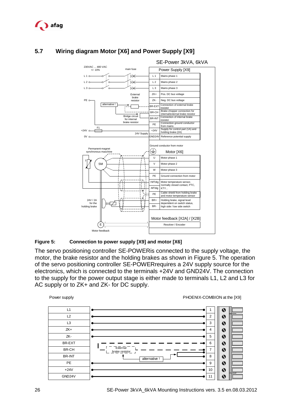



### <span id="page-25-0"></span>**5.7 Wiring diagram Motor [X6] and Power Supply [X9]**

#### <span id="page-25-1"></span>**Figure 5: Connection to power supply [X9] and motor [X6]**

The servo positioning controller SE-POWERis connected to the supply voltage, the motor, the brake resistor and the holding brakes as shown in Figure 5. The operation of the servo positioning controller SE-POWERrequires a 24V supply source for the electronics, which is connected to the terminals +24V and GND24V. The connection to the supply for the power output stage is either made to terminals L1, L2 and L3 for AC supply or to ZK+ and ZK- for DC supply.

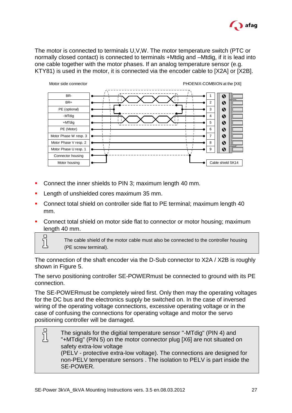

The motor is connected to terminals U,V,W. The motor temperature switch (PTC or normally closed contact) is connected to terminals +Mtdig and –Mtdig, if it is lead into one cable together with the motor phases. If an analog temperature sensor (e.g. KTY81) is used in the motor, it is connected via the encoder cable to [X2A] or [X2B].



- Connect the inner shields to PIN 3; maximum length 40 mm.
- Length of unshielded cores maximum 35 mm.

冗

ี่วิโ

- Connect total shield on controller side flat to PE terminal; maximum length 40 mm.
- Connect total shield on motor side flat to connector or motor housing; maximum length 40 mm.

The cable shield of the motor cable must also be connected to the controller housing (PE screw terminal).

The connection of the shaft encoder via the D-Sub connector to X2A / X2B is roughly shown in Figure 5.

The servo positioning controller SE-POWERmust be connected to ground with its PE connection.

The SE-POWERmust be completely wired first. Only then may the operating voltages for the DC bus and the electronics supply be switched on. In the case of inversed wiring of the operating voltage connections, excessive operating voltage or in the case of confusing the connections for operating voltage and motor the servo positioning controller will be damaged.

The signals for the digitial temperature sensor "-MTdig" (PIN 4) and "+MTdig" (PIN 5) on the motor connector plug [X6] are not situated on safety extra-low voltage (PELV - protective extra-low voltage). The connections are designed for non-PELV temperature sensors . The isolation to PELV is part inside the SE-POWER.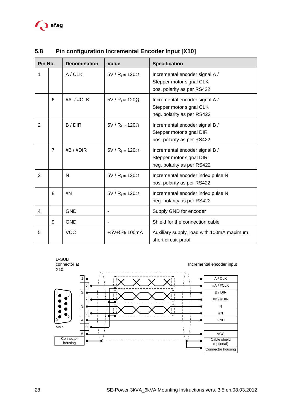

|                | Pin No.<br><b>Denomination</b><br>Value |            |                              | <b>Specification</b>                                                                     |  |  |  |  |  |  |  |
|----------------|-----------------------------------------|------------|------------------------------|------------------------------------------------------------------------------------------|--|--|--|--|--|--|--|
| 1              |                                         | A / CLK    | 5V / $R1 \approx 120\Omega$  | Incremental encoder signal A /<br>Stepper motor signal CLK<br>pos. polarity as per RS422 |  |  |  |  |  |  |  |
|                | 6                                       | #A / #CLK  | 5V / $R1 \approx 120\Omega$  | Incremental encoder signal A /<br>Stepper motor signal CLK<br>neg. polarity as per RS422 |  |  |  |  |  |  |  |
| $\overline{2}$ |                                         | B/DIR      | 5V / $R_1 \approx 120\Omega$ | Incremental encoder signal B /<br>Stepper motor signal DIR<br>pos. polarity as per RS422 |  |  |  |  |  |  |  |
|                | $\overline{7}$                          | #B / #DIR  | 5V / $R_1 \approx 120\Omega$ | Incremental encoder signal B /<br>Stepper motor signal DIR<br>neg. polarity as per RS422 |  |  |  |  |  |  |  |
| 3              |                                         | N          | 5V / $R1 \approx 120\Omega$  | Incremental encoder index pulse N<br>pos. polarity as per RS422                          |  |  |  |  |  |  |  |
|                | 8                                       | #N         | 5V / $R_1 \approx 120\Omega$ | Incremental encoder index pulse N<br>neg. polarity as per RS422                          |  |  |  |  |  |  |  |
| 4              |                                         | <b>GND</b> |                              | Supply GND for encoder                                                                   |  |  |  |  |  |  |  |
|                | 9                                       | <b>GND</b> | $\blacksquare$               | Shield for the connection cable                                                          |  |  |  |  |  |  |  |
| 5              |                                         | <b>VCC</b> | +5V±5% 100mA                 | Auxiliary supply, load with 100mA maximum,<br>short circuit-proof                        |  |  |  |  |  |  |  |

### <span id="page-27-0"></span>**5.8 Pin configuration Incremental Encoder Input [X10]**

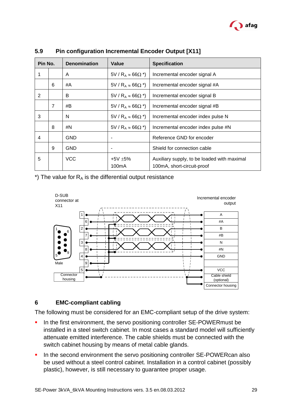

|   | Pin No.<br><b>Denomination</b> |            | Value                              | <b>Specification</b>                                                      |  |  |  |  |  |  |  |
|---|--------------------------------|------------|------------------------------------|---------------------------------------------------------------------------|--|--|--|--|--|--|--|
| 1 |                                | A          | 5V / $R_A \approx 66\Omega$ *)     | Incremental encoder signal A                                              |  |  |  |  |  |  |  |
|   | 6                              | #A         | 5V / $R_A \approx 66\Omega$ *)     | Incremental encoder signal #A                                             |  |  |  |  |  |  |  |
| 2 |                                | B          | 5V / $R_A \approx 66\Omega$ *)     | Incremental encoder signal B                                              |  |  |  |  |  |  |  |
|   | $\overline{7}$                 | # $B$      | 5V / $R_A \approx 66\Omega$ *)     | Incremental encoder signal #B                                             |  |  |  |  |  |  |  |
| 3 |                                | N          | 5V / $R_A \approx 66\Omega$ *)     | Incremental encoder index pulse N                                         |  |  |  |  |  |  |  |
|   | 8                              | #N         | 5V / $R_A \approx 66\Omega$ *)     | Incremental encoder index pulse #N                                        |  |  |  |  |  |  |  |
| 4 |                                | <b>GND</b> |                                    | Reference GND for encoder                                                 |  |  |  |  |  |  |  |
|   | 9                              | <b>GND</b> | ٠                                  | Shield for connection cable                                               |  |  |  |  |  |  |  |
| 5 |                                | <b>VCC</b> | +5V $\pm$ 5%<br>100 <sub>m</sub> A | Auxiliary supply, to be loaded with maximal<br>100mA, short-circuit-proof |  |  |  |  |  |  |  |

<span id="page-28-0"></span>**5.9 Pin configuration Incremental Encoder Output [X11]**

 $*$ ) The value for  $R_A$  is the differential output resistance



### <span id="page-28-1"></span>**6 EMC-compliant cabling**

The following must be considered for an EMC-compliant setup of the drive system:

- **IF** In the first environment, the servo positioning controller SE-POWERmust be installed in a steel switch cabinet. In most cases a standard model will sufficiently attenuate emitted interference. The cable shields must be connected with the switch cabinet housing by means of metal cable glands.
- In the second environment the servo positioning controller SE-POWERcan also be used without a steel control cabinet. Installation in a control cabinet (possibly plastic), however, is still necessary to guarantee proper usage.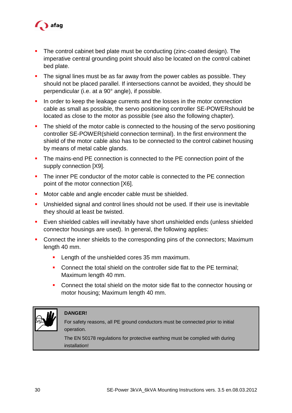

- The control cabinet bed plate must be conducting (zinc-coated design). The imperative central grounding point should also be located on the control cabinet bed plate.
- **The signal lines must be as far away from the power cables as possible. They** should not be placed parallel. If intersections cannot be avoided, they should be perpendicular (i.e. at a 90° angle), if possible.
- I In order to keep the leakage currents and the losses in the motor connection cable as small as possible, the servo positioning controller SE-POWERshould be located as close to the motor as possible (see also the following chapter).
- The shield of the motor cable is connected to the housing of the servo positioning controller SE-POWER(shield connection terminal). In the first environment the shield of the motor cable also has to be connected to the control cabinet housing by means of metal cable glands.
- The mains-end PE connection is connected to the PE connection point of the supply connection [X9].
- The inner PE conductor of the motor cable is connected to the PE connection point of the motor connection [X6].
- **Motor cable and angle encoder cable must be shielded.**
- **Unshielded signal and control lines should not be used. If their use is inevitable** they should at least be twisted.
- **E** ven shielded cables will inevitably have short unshielded ends (unless shielded connector housings are used). In general, the following applies:
- Connect the inner shields to the corresponding pins of the connectors; Maximum length 40 mm.
	- **Length of the unshielded cores 35 mm maximum.**
	- **Connect the total shield on the controller side flat to the PE terminal;** Maximum length 40 mm.
	- **Connect the total shield on the motor side flat to the connector housing or** motor housing; Maximum length 40 mm.



#### **DANGER!**

For safety reasons, all PE ground conductors must be connected prior to initial operation.

The EN 50178 regulations for protective earthing must be complied with during installation!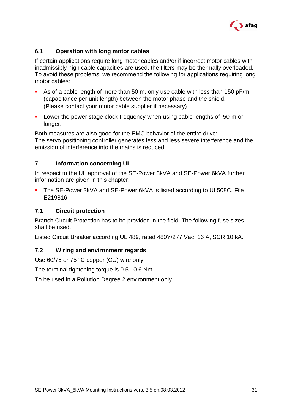

### <span id="page-30-0"></span>**6.1 Operation with long motor cables**

If certain applications require long motor cables and/or if incorrect motor cables with inadmissibly high cable capacities are used, the filters may be thermally overloaded. To avoid these problems, we recommend the following for applications requiring long motor cables:

- As of a cable length of more than 50 m, only use cable with less than 150 pF/m (capacitance per unit length) between the motor phase and the shield! (Please contact your motor cable supplier if necessary)
- **Lower the power stage clock frequency when using cable lengths of 50 m or** longer.

Both measures are also good for the EMC behavior of the entire drive: The servo positioning controller generates less and less severe interference and the emission of interference into the mains is reduced.

### <span id="page-30-1"></span>**7 Information concerning UL**

In respect to the UL approval of the SE-Power 3kVA and SE-Power 6kVA further information are given in this chapter.

 The SE-Power 3kVA and SE-Power 6kVA is listed according to UL508C, File E219816

### <span id="page-30-2"></span>**7.1 Circuit protection**

Branch Circuit Protection has to be provided in the field. The following fuse sizes shall be used.

Listed Circuit Breaker according UL 489, rated 480Y/277 Vac, 16 A, SCR 10 kA.

### <span id="page-30-3"></span>**7.2 Wiring and environment regards**

Use 60/75 or 75 °C copper (CU) wire only.

The terminal tightening torque is 0.5...0.6 Nm.

To be used in a Pollution Degree 2 environment only.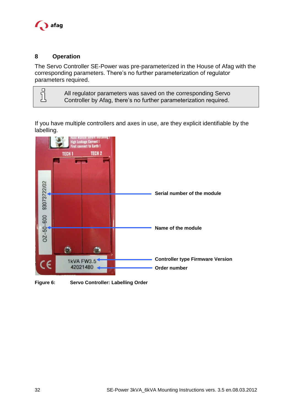

### <span id="page-31-0"></span>**8 Operation**

The Servo Controller SE-Power was pre-parameterized in the House of Afag with the corresponding parameters. There's no further parameterization of regulator parameters required.

 $\Box$ ĭ All regulator parameters was saved on the corresponding Servo Controller by Afag, there's no further parameterization required.

If you have multiple controllers and axes in use, are they explicit identifiable by the labelling.

<span id="page-31-1"></span>

**Figure 6: Servo Controller: Labelling Order**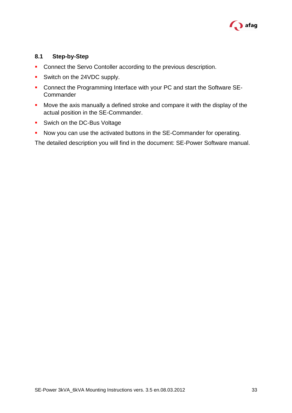

#### <span id="page-32-0"></span>**8.1 Step-by-Step**

- **Connect the Servo Contoller according to the previous description.**
- Switch on the 24VDC supply.
- **Connect the Programming Interface with your PC and start the Software SE-Commander**
- Move the axis manually a defined stroke and compare it with the display of the actual position in the SE-Commander.
- **Swich on the DC-Bus Voltage**
- Now you can use the activated buttons in the SE-Commander for operating.

The detailed description you will find in the document: SE-Power Software manual.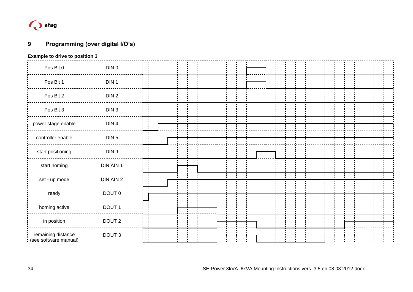

### **9 Programming (over digital I/O's)**

#### **Example to drive to position 3**

<span id="page-33-0"></span>

| Pos Bit 0                                   | DIN <sub>0</sub>  |  |  |  |  |  |  |  |  |  |  |  |
|---------------------------------------------|-------------------|--|--|--|--|--|--|--|--|--|--|--|
| Pos Bit 1                                   | DIN <sub>1</sub>  |  |  |  |  |  |  |  |  |  |  |  |
| Pos Bit 2                                   | DIN <sub>2</sub>  |  |  |  |  |  |  |  |  |  |  |  |
| Pos Bit 3                                   | DIN <sub>3</sub>  |  |  |  |  |  |  |  |  |  |  |  |
| power stage enable                          | DIN <sub>4</sub>  |  |  |  |  |  |  |  |  |  |  |  |
| controller enable                           | DIN <sub>5</sub>  |  |  |  |  |  |  |  |  |  |  |  |
| start positioning                           | DIN 9             |  |  |  |  |  |  |  |  |  |  |  |
| start homing                                | DIN AIN 1         |  |  |  |  |  |  |  |  |  |  |  |
| set - up mode                               | DIN AIN 2         |  |  |  |  |  |  |  |  |  |  |  |
| ready                                       | DOUT 0            |  |  |  |  |  |  |  |  |  |  |  |
| homing active                               | DOUT <sub>1</sub> |  |  |  |  |  |  |  |  |  |  |  |
| in position                                 | DOUT <sub>2</sub> |  |  |  |  |  |  |  |  |  |  |  |
| remaining distance<br>(see software manual) | DOUT <sub>3</sub> |  |  |  |  |  |  |  |  |  |  |  |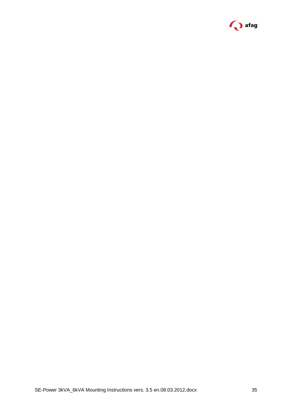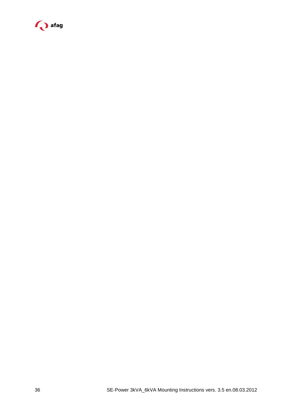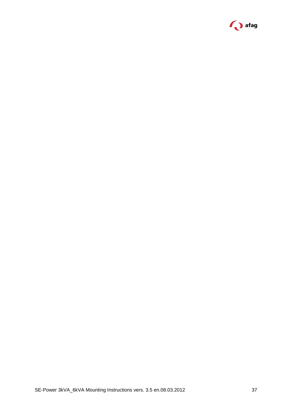